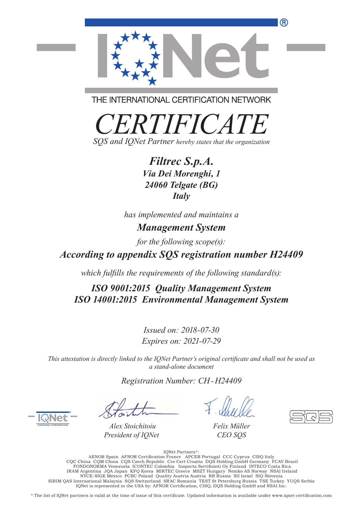

THE INTERNATIONAL CERTIFICATION NETWORK

*CERTIFICATE SQS and IQNet Partner hereby states that the organization*

> *Filtrec S.p.A. Via Dei Morenghi, 1 24060 Telgate (BG) Italy*

*has implemented and maintains a Management System*

*for the following scope(s):*

*According to appendix SQS registration number H24409*

*which fulfills the requirements of the following standard(s):*

*ISO 9001:2015 Quality Management System ISO 14001:2015 Environmental Management System*

> *Issued on: 2018-07-30 Expires on: 2021-07-29*

*This attestation is directly linked to the IQNet Partner's original certificate and shall not be used as a stand-alone document*

*Registration Number: CH-H24409*

*Alex Stoichitoiu President of IQNet*

*Felix Müller CEO SQS*

IQNet Partners\*: AENOR Spain AFNOR Certification France APCER Portugal CCC Cyprus CISQ Italy<br>CQC China CQM China CQS Czech Republic Cro Cert Croatia DQS Holding GmbH Germany FCAV Brazil<br>FONDONORMA Venezuela ICONTEC Colombia Inspecta Sertif NYCE-SIGE México PCBC Poland Quality Austria Austria RR Russia SII Israel SIQ Slovenia SIRIM QAS International Malaysia SQS Switzerland SRAC Romania TEST St Petersburg Russia TSE Turkey YUQS Serbia IQNet is represented in the USA by: AFNOR Certification, CISQ, DQS Holding GmbH and NSAI Inc.

\* The list of IQNet partners is valid at the time of issue of this certificate. Updated information is available under www.iqnet-certification.com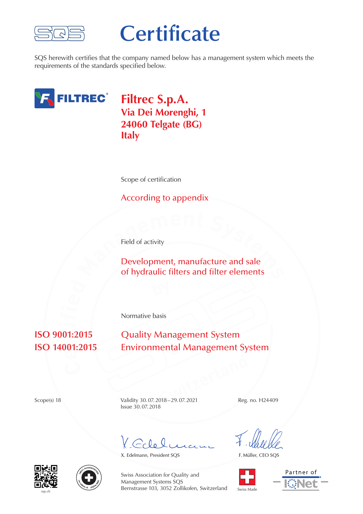

## **Certificate**

SQS herewith certifies that the company named below has a management system which meets the requirements of the standards specified below.



**Filtrec S.p.A. Via Dei Morenghi, 1 24060 Telgate (BG) Italy**

Scope of certification

## According to appendix

Field of activity

**h**<br>**Development, manufacture and sale<br>of hydraulic filters and filter elements** Development, manufacture and sale of hydraulic filters and filter elements

Normative basis

## **e r**  $\overline{01}$

**Quality Management System Environmental Management System** 

**Switzerland**<br> **Switzerland**<br> **Switzerland**<br> **Switzerland**<br> **Switzerland**<br> **Switzerland**<br> **Switzerland**<br> **Switzerland**<br> **Switzerland** Scope(s) 18 Validity 30.07.2018–29.07.2021 Reg. no. H24409 Issue 30.07.2018

 $Gclo$ 

X. Edelmann, President SQS

F. Müller, CEO SQS









Swiss Association for Quality and Management Systems SQS Bernstrasse 103, 3052 Zollikofen, Switzerland